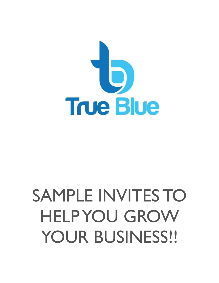

## SAMPLE INVITES TO HELP YOU GROW YOUR BUSINESS!!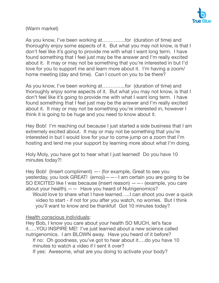

(Warm market)

As you know, I've been working at…………..for (duration of time) and thoroughly enjoy some aspects of it. But what you may not know, is that I don't feel like it's going to provide me with what I want long term. I have found something that I feel just may be the answer and I'm really excited about it. It may or may not be something that you're interested in but I'd love for you to support me and learn more about it. I'm having a zoom/ home meeting (day and time). Can I count on you to be there?

As you know, I've been working at…………..for (duration of time) and thoroughly enjoy some aspects of it. But what you may not know, is that I don't feel like it's going to provide me with what I want long term. I have found something that I feel just may be the answer and I'm really excited about it. It may or may not be something you're interested in, however I think it is going to be huge and you need to know about it.

Hey Bob! I'm reaching out because I just started a side business that I am extremely excited about. It may or may not be something that you're interested in but I would love for your to come jump on a zoom that I'm hosting and lend me your support by learning more about what I'm doing.

Holy Moly, you have got to hear what I just learned! Do you have 10 minutes today?!

Hey Bob! (Insert compliment) —- (for example, Great to see you yesterday, you look GREAT! (emoji)——- I am certain you are going to be SO EXCITED like I was because (insert reason) ——- (example, you care about your health).—— Have you heard of Nutrigenomics? Would love to share what I have learned…..I can shoot you over a quick video to start - if not for you after you watch, no worries. But I think you'll want to know and be thankful! Got 10 minutes today?

Health conscious individuals:

Hey Bob, I know you care about your health SO MUCH, let's face it…..YOU INSPIRE ME! I've just learned about a new science called nutrigenomics. I am BLOWN away. Have you heard of it before? If no: Oh goodness, you've got to hear about it….do you have 10 minutes to watch a video if I sent it over? If yes: Awesome, what are you doing to activate your body?